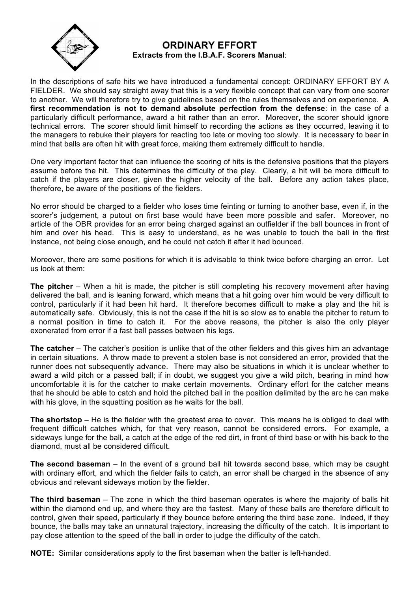

## **ORDINARY EFFORT Extracts from the I.B.A.F. Scorers Manual**:

In the descriptions of safe hits we have introduced a fundamental concept: ORDINARY EFFORT BY A FIELDER. We should say straight away that this is a very flexible concept that can vary from one scorer to another. We will therefore try to give guidelines based on the rules themselves and on experience. **A first recommendation is not to demand absolute perfection from the defense**: in the case of a particularly difficult performance, award a hit rather than an error. Moreover, the scorer should ignore technical errors. The scorer should limit himself to recording the actions as they occurred, leaving it to the managers to rebuke their players for reacting too late or moving too slowly. It is necessary to bear in mind that balls are often hit with great force, making them extremely difficult to handle.

One very important factor that can influence the scoring of hits is the defensive positions that the players assume before the hit. This determines the difficulty of the play. Clearly, a hit will be more difficult to catch if the players are closer, given the higher velocity of the ball. Before any action takes place, therefore, be aware of the positions of the fielders.

No error should be charged to a fielder who loses time feinting or turning to another base, even if, in the scorer's judgement, a putout on first base would have been more possible and safer. Moreover, no article of the OBR provides for an error being charged against an outfielder if the ball bounces in front of him and over his head. This is easy to understand, as he was unable to touch the ball in the first instance, not being close enough, and he could not catch it after it had bounced.

Moreover, there are some positions for which it is advisable to think twice before charging an error. Let us look at them:

**The pitcher** – When a hit is made, the pitcher is still completing his recovery movement after having delivered the ball, and is leaning forward, which means that a hit going over him would be very difficult to control, particularly if it had been hit hard. It therefore becomes difficult to make a play and the hit is automatically safe. Obviously, this is not the case if the hit is so slow as to enable the pitcher to return to a normal position in time to catch it. For the above reasons, the pitcher is also the only player exonerated from error if a fast ball passes between his legs.

**The catcher** – The catcher's position is unlike that of the other fielders and this gives him an advantage in certain situations. A throw made to prevent a stolen base is not considered an error, provided that the runner does not subsequently advance. There may also be situations in which it is unclear whether to award a wild pitch or a passed ball; if in doubt, we suggest you give a wild pitch, bearing in mind how uncomfortable it is for the catcher to make certain movements. Ordinary effort for the catcher means that he should be able to catch and hold the pitched ball in the position delimited by the arc he can make with his glove, in the squatting position as he waits for the ball.

**The shortstop** – He is the fielder with the greatest area to cover. This means he is obliged to deal with frequent difficult catches which, for that very reason, cannot be considered errors. For example, a sideways lunge for the ball, a catch at the edge of the red dirt, in front of third base or with his back to the diamond, must all be considered difficult.

**The second baseman** – In the event of a ground ball hit towards second base, which may be caught with ordinary effort, and which the fielder fails to catch, an error shall be charged in the absence of any obvious and relevant sideways motion by the fielder.

**The third baseman** – The zone in which the third baseman operates is where the majority of balls hit within the diamond end up, and where they are the fastest. Many of these balls are therefore difficult to control, given their speed, particularly if they bounce before entering the third base zone. Indeed, if they bounce, the balls may take an unnatural trajectory, increasing the difficulty of the catch. It is important to pay close attention to the speed of the ball in order to judge the difficulty of the catch.

**NOTE:** Similar considerations apply to the first baseman when the batter is left-handed.